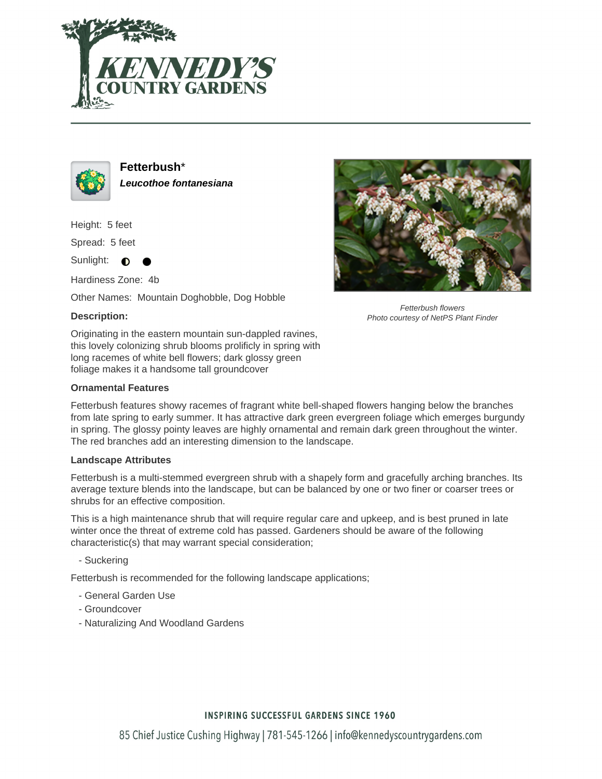



**Fetterbush**\* **Leucothoe fontanesiana**

Height: 5 feet

Spread: 5 feet

Sunlight:  $\bigcirc$ 

Hardiness Zone: 4b

Other Names: Mountain Doghobble, Dog Hobble

## **Description:**



Fetterbush flowers Photo courtesy of NetPS Plant Finder

Originating in the eastern mountain sun-dappled ravines, this lovely colonizing shrub blooms prolificly in spring with long racemes of white bell flowers; dark glossy green foliage makes it a handsome tall groundcover

### **Ornamental Features**

Fetterbush features showy racemes of fragrant white bell-shaped flowers hanging below the branches from late spring to early summer. It has attractive dark green evergreen foliage which emerges burgundy in spring. The glossy pointy leaves are highly ornamental and remain dark green throughout the winter. The red branches add an interesting dimension to the landscape.

#### **Landscape Attributes**

Fetterbush is a multi-stemmed evergreen shrub with a shapely form and gracefully arching branches. Its average texture blends into the landscape, but can be balanced by one or two finer or coarser trees or shrubs for an effective composition.

This is a high maintenance shrub that will require regular care and upkeep, and is best pruned in late winter once the threat of extreme cold has passed. Gardeners should be aware of the following characteristic(s) that may warrant special consideration;

- Suckering

Fetterbush is recommended for the following landscape applications;

- General Garden Use
- Groundcover
- Naturalizing And Woodland Gardens

# **INSPIRING SUCCESSFUL GARDENS SINCE 1960**